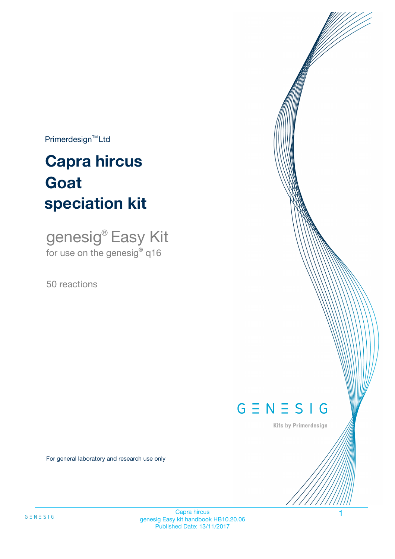$Primerdesign^{\text{TM}}Ltd$ 

# **Capra hircus speciation kit Goat**

genesig® Easy Kit for use on the genesig**®** q16

50 reactions



Kits by Primerdesign

For general laboratory and research use only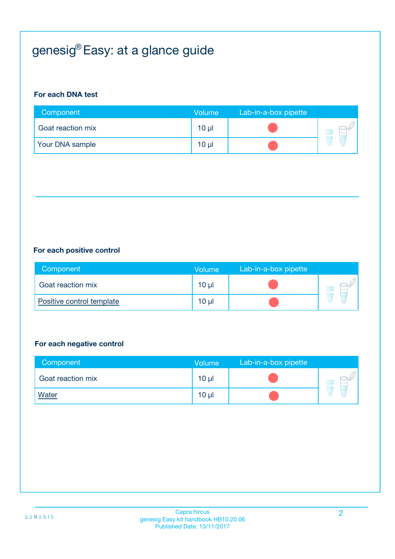# genesig® Easy: at a glance guide

#### **For each DNA test**

| Component         | <b>Volume</b>   | Lab-in-a-box pipette |  |
|-------------------|-----------------|----------------------|--|
| Goat reaction mix | 10 <sub>µ</sub> |                      |  |
| Your DNA sample   | 10 <sub>µ</sub> |                      |  |

#### **For each positive control**

| Component                 | <b>Volume</b> | Lab-in-a-box pipette |  |
|---------------------------|---------------|----------------------|--|
| Goat reaction mix         | 10 µl         |                      |  |
| Positive control template | 10 µl         |                      |  |

#### **For each negative control**

| Component         | <b>Volume</b>   | Lab-in-a-box pipette |  |
|-------------------|-----------------|----------------------|--|
| Goat reaction mix | $10 \mu$        |                      |  |
| <b>Water</b>      | 10 <sub>µ</sub> |                      |  |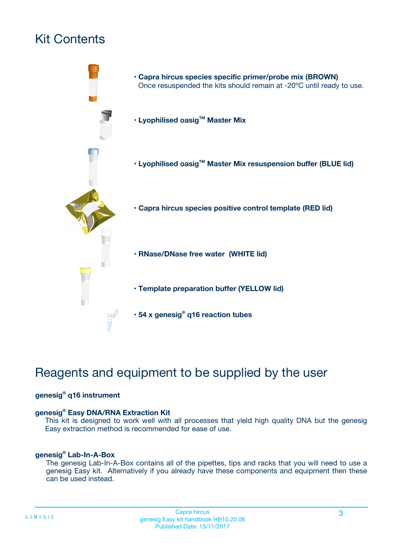# Kit Contents



# Reagents and equipment to be supplied by the user

#### **genesig® q16 instrument**

#### **genesig® Easy DNA/RNA Extraction Kit**

This kit is designed to work well with all processes that yield high quality DNA but the genesig Easy extraction method is recommended for ease of use.

#### **genesig® Lab-In-A-Box**

The genesig Lab-In-A-Box contains all of the pipettes, tips and racks that you will need to use a genesig Easy kit. Alternatively if you already have these components and equipment then these can be used instead.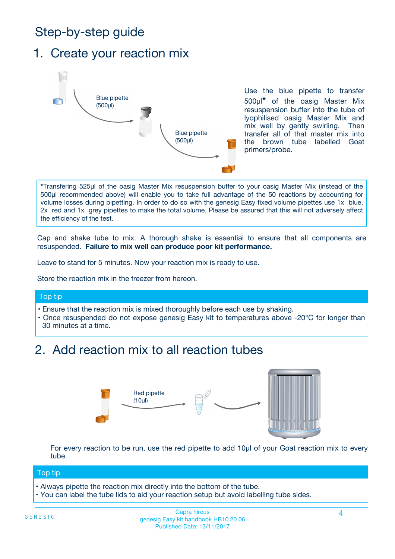# Step-by-step guide

### 1. Create your reaction mix



Use the blue pipette to transfer 500µl**\*** of the oasig Master Mix resuspension buffer into the tube of lyophilised oasig Master Mix and mix well by gently swirling. Then transfer all of that master mix into the brown tube labelled Goat primers/probe.

**\***Transfering 525µl of the oasig Master Mix resuspension buffer to your oasig Master Mix (instead of the 500µl recommended above) will enable you to take full advantage of the 50 reactions by accounting for volume losses during pipetting. In order to do so with the genesig Easy fixed volume pipettes use 1x blue, 2x red and 1x grey pipettes to make the total volume. Please be assured that this will not adversely affect the efficiency of the test.

Cap and shake tube to mix. A thorough shake is essential to ensure that all components are resuspended. **Failure to mix well can produce poor kit performance.**

Leave to stand for 5 minutes. Now your reaction mix is ready to use.

Store the reaction mix in the freezer from hereon.

#### Top tip

- Ensure that the reaction mix is mixed thoroughly before each use by shaking.
- **•** Once resuspended do not expose genesig Easy kit to temperatures above -20°C for longer than 30 minutes at a time.

# 2. Add reaction mix to all reaction tubes



For every reaction to be run, use the red pipette to add 10µl of your Goat reaction mix to every tube.

#### Top tip

- Always pipette the reaction mix directly into the bottom of the tube.
- You can label the tube lids to aid your reaction setup but avoid labelling tube sides.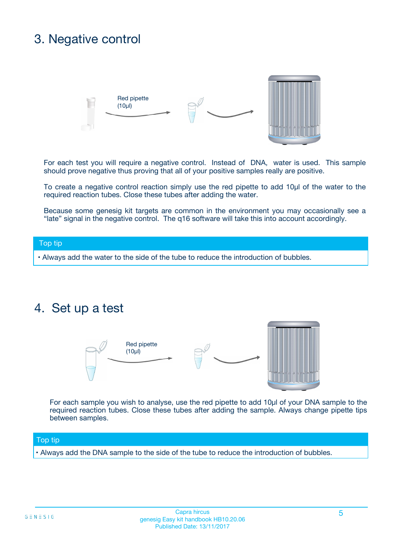# 3. Negative control



For each test you will require a negative control. Instead of DNA, water is used. This sample should prove negative thus proving that all of your positive samples really are positive.

To create a negative control reaction simply use the red pipette to add 10µl of the water to the required reaction tubes. Close these tubes after adding the water.

Because some genesig kit targets are common in the environment you may occasionally see a "late" signal in the negative control. The q16 software will take this into account accordingly.

#### Top tip

**•** Always add the water to the side of the tube to reduce the introduction of bubbles.

### 4. Set up a test



For each sample you wish to analyse, use the red pipette to add 10µl of your DNA sample to the required reaction tubes. Close these tubes after adding the sample. Always change pipette tips between samples.

#### Top tip

**•** Always add the DNA sample to the side of the tube to reduce the introduction of bubbles.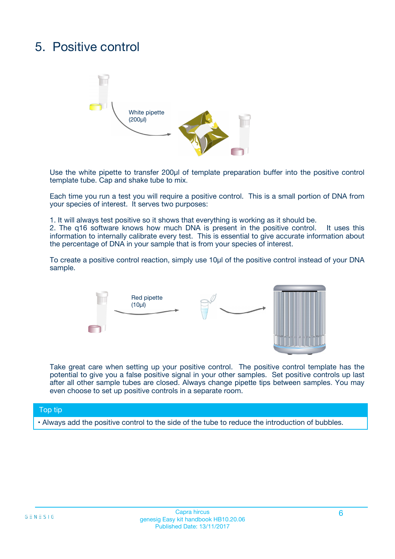# 5. Positive control



Use the white pipette to transfer 200µl of template preparation buffer into the positive control template tube. Cap and shake tube to mix.

Each time you run a test you will require a positive control. This is a small portion of DNA from your species of interest. It serves two purposes:

1. It will always test positive so it shows that everything is working as it should be.

2. The q16 software knows how much DNA is present in the positive control. It uses this information to internally calibrate every test. This is essential to give accurate information about the percentage of DNA in your sample that is from your species of interest.

To create a positive control reaction, simply use 10µl of the positive control instead of your DNA sample.



Take great care when setting up your positive control. The positive control template has the potential to give you a false positive signal in your other samples. Set positive controls up last after all other sample tubes are closed. Always change pipette tips between samples. You may even choose to set up positive controls in a separate room.

#### Top tip

**•** Always add the positive control to the side of the tube to reduce the introduction of bubbles.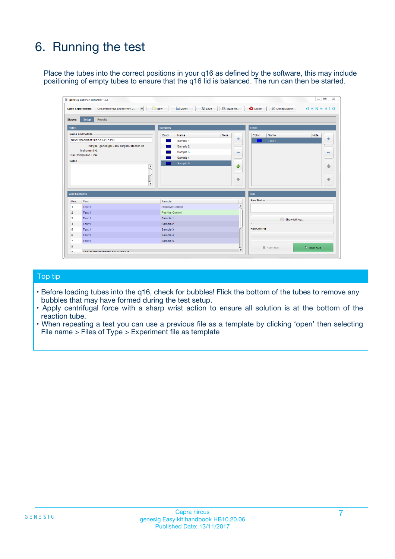# 6. Running the test

Place the tubes into the correct positions in your q16 as defined by the software, this may include positioning of empty tubes to ensure that the q16 lid is balanced. The run can then be started.

|                      | genesig q16 PCR software - 1.2                                                    |                                     | $\Box$                                                                     |
|----------------------|-----------------------------------------------------------------------------------|-------------------------------------|----------------------------------------------------------------------------|
|                      | <b>Open Experiments:</b><br>Unsaved (New Experiment 2<br>$\overline{\phantom{a}}$ | <b>E</b> Open<br>Save<br>$\Box$ New | Save As<br>$G \equiv N \equiv S \mid G$<br><b>C</b> Close<br>Configuration |
| Stages:              | Setup<br><b>Results</b>                                                           |                                     |                                                                            |
| <b>Notes</b>         |                                                                                   | <b>Samples</b>                      | <b>Tests</b>                                                               |
|                      | <b>Name and Details</b>                                                           | Note<br>Color<br>Name               | Color<br>Name<br>Note                                                      |
|                      | New Experiment 2017-10-26 11:06                                                   | Sample 1                            | 유<br>÷<br>Test <sub>1</sub>                                                |
|                      | Kit type: genesig® Easy Target Detection kit                                      | Sample 2                            |                                                                            |
|                      | Instrument Id.:                                                                   | Sample 3                            | $\qquad \qquad \blacksquare$<br>$\qquad \qquad \blacksquare$               |
|                      | <b>Run Completion Time:</b>                                                       | Sample 4                            |                                                                            |
| <b>Notes</b>         | $\blacktriangle$                                                                  | Sample 5                            | ♦                                                                          |
|                      |                                                                                   |                                     | 4                                                                          |
|                      |                                                                                   |                                     |                                                                            |
|                      |                                                                                   |                                     | ÷<br>€                                                                     |
|                      | $\overline{\mathbf{v}}$                                                           |                                     |                                                                            |
| <b>Well Contents</b> |                                                                                   |                                     | Run                                                                        |
| Pos.                 | Test                                                                              | Sample                              | <b>Run Status</b>                                                          |
| 1                    | Test 1                                                                            | <b>Negative Control</b>             | $\blacktriangle$                                                           |
| $\overline{2}$       | Test 1                                                                            | <b>Positive Control</b>             |                                                                            |
| 3                    | Test 1                                                                            | Sample 1                            | Show full log                                                              |
| $\overline{4}$       | Test 1                                                                            | Sample 2                            |                                                                            |
| 5                    | Test 1                                                                            | Sample 3                            | <b>Run Control</b>                                                         |
| 6                    | Test 1                                                                            | Sample 4                            |                                                                            |
| $\overline{7}$       | Test 1                                                                            | Sample 5                            |                                                                            |
|                      |                                                                                   |                                     |                                                                            |
| 8                    |                                                                                   |                                     | $\triangleright$ Start Run<br>Abort Run<br>$\overline{\mathbf{v}}$         |

#### Top tip

- Before loading tubes into the q16, check for bubbles! Flick the bottom of the tubes to remove any bubbles that may have formed during the test setup.
- Apply centrifugal force with a sharp wrist action to ensure all solution is at the bottom of the reaction tube.
- When repeating a test you can use a previous file as a template by clicking 'open' then selecting File name > Files of Type > Experiment file as template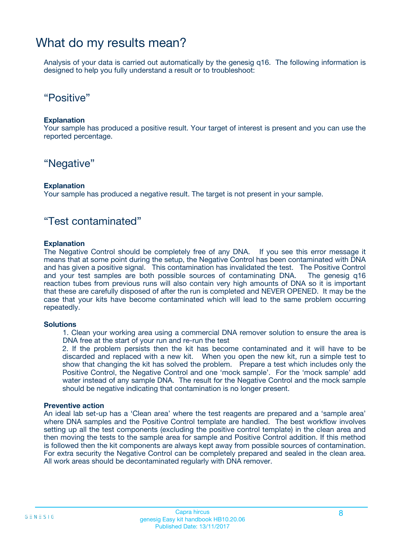# What do my results mean?

Analysis of your data is carried out automatically by the genesig q16. The following information is designed to help you fully understand a result or to troubleshoot:

### "Positive"

#### **Explanation**

Your sample has produced a positive result. Your target of interest is present and you can use the reported percentage.

### "Negative"

#### **Explanation**

Your sample has produced a negative result. The target is not present in your sample.

### "Test contaminated"

#### **Explanation**

The Negative Control should be completely free of any DNA. If you see this error message it means that at some point during the setup, the Negative Control has been contaminated with DNA and has given a positive signal. This contamination has invalidated the test. The Positive Control and your test samples are both possible sources of contaminating DNA. The genesig q16 reaction tubes from previous runs will also contain very high amounts of DNA so it is important that these are carefully disposed of after the run is completed and NEVER OPENED. It may be the case that your kits have become contaminated which will lead to the same problem occurring repeatedly.

#### **Solutions**

1. Clean your working area using a commercial DNA remover solution to ensure the area is DNA free at the start of your run and re-run the test

2. If the problem persists then the kit has become contaminated and it will have to be discarded and replaced with a new kit. When you open the new kit, run a simple test to show that changing the kit has solved the problem. Prepare a test which includes only the Positive Control, the Negative Control and one 'mock sample'. For the 'mock sample' add water instead of any sample DNA. The result for the Negative Control and the mock sample should be negative indicating that contamination is no longer present.

#### **Preventive action**

An ideal lab set-up has a 'Clean area' where the test reagents are prepared and a 'sample area' where DNA samples and the Positive Control template are handled. The best workflow involves setting up all the test components (excluding the positive control template) in the clean area and then moving the tests to the sample area for sample and Positive Control addition. If this method is followed then the kit components are always kept away from possible sources of contamination. For extra security the Negative Control can be completely prepared and sealed in the clean area. All work areas should be decontaminated regularly with DNA remover.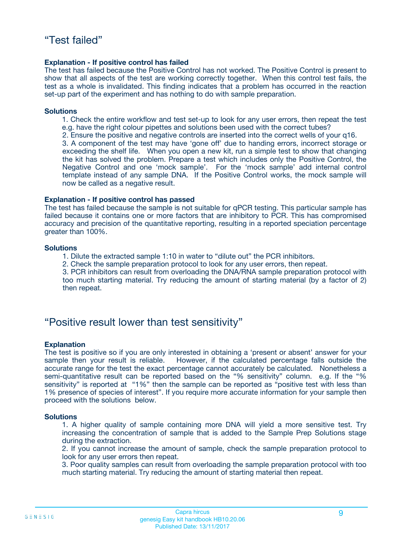#### **Explanation - If positive control has failed**

The test has failed because the Positive Control has not worked. The Positive Control is present to show that all aspects of the test are working correctly together. When this control test fails, the test as a whole is invalidated. This finding indicates that a problem has occurred in the reaction set-up part of the experiment and has nothing to do with sample preparation.

#### **Solutions**

- 1. Check the entire workflow and test set-up to look for any user errors, then repeat the test e.g. have the right colour pipettes and solutions been used with the correct tubes?
- 2. Ensure the positive and negative controls are inserted into the correct wells of your q16.

3. A component of the test may have 'gone off' due to handing errors, incorrect storage or exceeding the shelf life. When you open a new kit, run a simple test to show that changing the kit has solved the problem. Prepare a test which includes only the Positive Control, the Negative Control and one 'mock sample'. For the 'mock sample' add internal control template instead of any sample DNA. If the Positive Control works, the mock sample will now be called as a negative result.

#### **Explanation - If positive control has passed**

The test has failed because the sample is not suitable for qPCR testing. This particular sample has failed because it contains one or more factors that are inhibitory to PCR. This has compromised accuracy and precision of the quantitative reporting, resulting in a reported speciation percentage greater than 100%.

#### **Solutions**

- 1. Dilute the extracted sample 1:10 in water to "dilute out" the PCR inhibitors.
- 2. Check the sample preparation protocol to look for any user errors, then repeat.

3. PCR inhibitors can result from overloading the DNA/RNA sample preparation protocol with too much starting material. Try reducing the amount of starting material (by a factor of 2) then repeat.

### "Positive result lower than test sensitivity"

#### **Explanation**

The test is positive so if you are only interested in obtaining a 'present or absent' answer for your sample then your result is reliable. However, if the calculated percentage falls outside the accurate range for the test the exact percentage cannot accurately be calculated. Nonetheless a semi-quantitative result can be reported based on the "% sensitivity" column. e.g. If the "% sensitivity" is reported at "1%" then the sample can be reported as "positive test with less than 1% presence of species of interest". If you require more accurate information for your sample then proceed with the solutions below.

#### **Solutions**

1. A higher quality of sample containing more DNA will yield a more sensitive test. Try increasing the concentration of sample that is added to the Sample Prep Solutions stage during the extraction.

2. If you cannot increase the amount of sample, check the sample preparation protocol to look for any user errors then repeat.

3. Poor quality samples can result from overloading the sample preparation protocol with too much starting material. Try reducing the amount of starting material then repeat.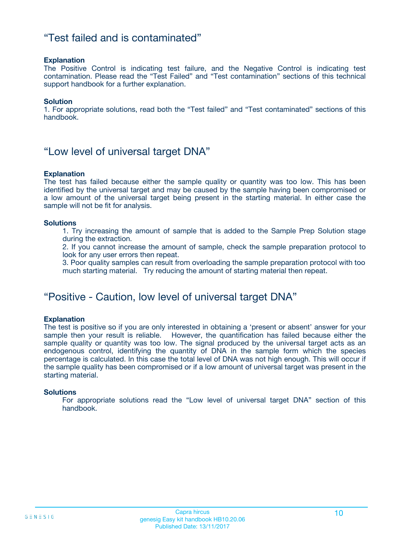### "Test failed and is contaminated"

#### **Explanation**

The Positive Control is indicating test failure, and the Negative Control is indicating test contamination. Please read the "Test Failed" and "Test contamination" sections of this technical support handbook for a further explanation.

#### **Solution**

1. For appropriate solutions, read both the "Test failed" and "Test contaminated" sections of this handbook.

### "Low level of universal target DNA"

#### **Explanation**

The test has failed because either the sample quality or quantity was too low. This has been identified by the universal target and may be caused by the sample having been compromised or a low amount of the universal target being present in the starting material. In either case the sample will not be fit for analysis.

#### **Solutions**

1. Try increasing the amount of sample that is added to the Sample Prep Solution stage during the extraction.

2. If you cannot increase the amount of sample, check the sample preparation protocol to look for any user errors then repeat.

3. Poor quality samples can result from overloading the sample preparation protocol with too much starting material. Try reducing the amount of starting material then repeat.

### "Positive - Caution, low level of universal target DNA"

#### **Explanation**

The test is positive so if you are only interested in obtaining a 'present or absent' answer for your sample then your result is reliable. However, the quantification has failed because either the sample quality or quantity was too low. The signal produced by the universal target acts as an endogenous control, identifying the quantity of DNA in the sample form which the species percentage is calculated. In this case the total level of DNA was not high enough. This will occur if the sample quality has been compromised or if a low amount of universal target was present in the starting material.

#### **Solutions**

For appropriate solutions read the "Low level of universal target DNA" section of this handbook.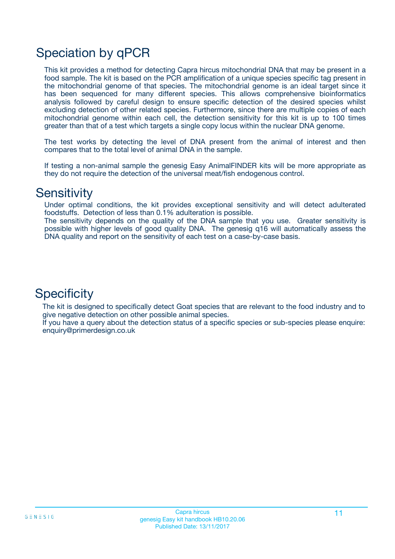# Speciation by qPCR

This kit provides a method for detecting Capra hircus mitochondrial DNA that may be present in a food sample. The kit is based on the PCR amplification of a unique species specific tag present in the mitochondrial genome of that species. The mitochondrial genome is an ideal target since it has been sequenced for many different species. This allows comprehensive bioinformatics analysis followed by careful design to ensure specific detection of the desired species whilst excluding detection of other related species. Furthermore, since there are multiple copies of each mitochondrial genome within each cell, the detection sensitivity for this kit is up to 100 times greater than that of a test which targets a single copy locus within the nuclear DNA genome.

The test works by detecting the level of DNA present from the animal of interest and then compares that to the total level of animal DNA in the sample.

If testing a non-animal sample the genesig Easy AnimalFINDER kits will be more appropriate as they do not require the detection of the universal meat/fish endogenous control.

### **Sensitivity**

Under optimal conditions, the kit provides exceptional sensitivity and will detect adulterated foodstuffs. Detection of less than 0.1% adulteration is possible.

The sensitivity depends on the quality of the DNA sample that you use. Greater sensitivity is possible with higher levels of good quality DNA. The genesig q16 will automatically assess the DNA quality and report on the sensitivity of each test on a case-by-case basis.

# **Specificity**

The kit is designed to specifically detect Goat species that are relevant to the food industry and to give negative detection on other possible animal species.

If you have a query about the detection status of a specific species or sub-species please enquire: enquiry@primerdesign.co.uk